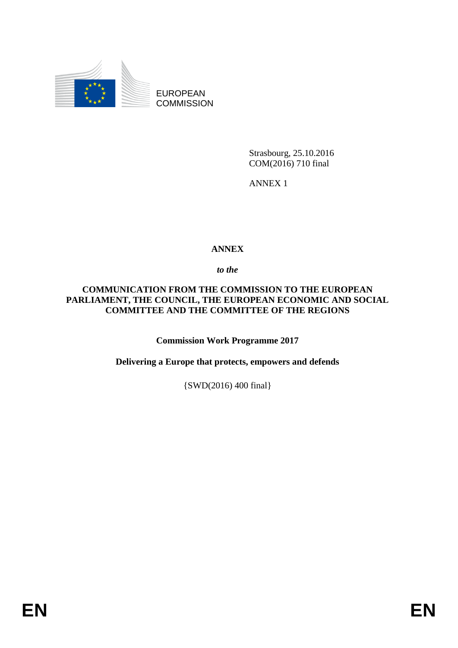

EUROPEAN **COMMISSION** 

> Strasbourg, 25.10.2016 COM(2016) 710 final

ANNEX 1

## **ANNEX**

*to the* 

## **COMMUNICATION FROM THE COMMISSION TO THE EUROPEAN PARLIAMENT, THE COUNCIL, THE EUROPEAN ECONOMIC AND SOCIAL COMMITTEE AND THE COMMITTEE OF THE REGIONS**

**Commission Work Programme 2017**

**Delivering a Europe that protects, empowers and defends**

{SWD(2016) 400 final}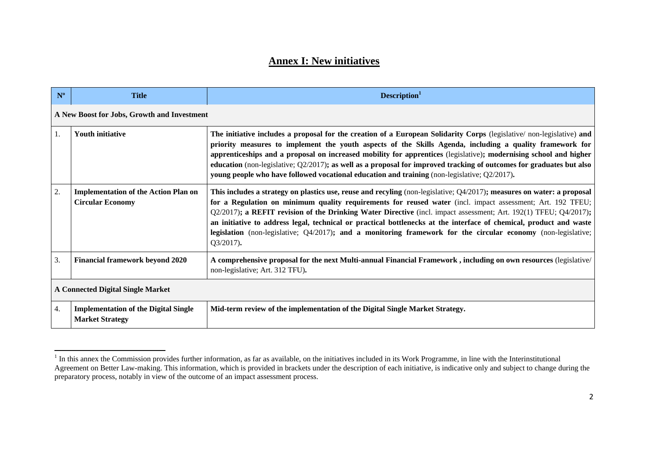## **Annex I: New initiatives**

| $N^{\circ}$                              | <b>Title</b>                                                           | Description <sup>1</sup>                                                                                                                                                                                                                                                                                                                                                                                                                                                                                                                                                                                           |  |  |  |
|------------------------------------------|------------------------------------------------------------------------|--------------------------------------------------------------------------------------------------------------------------------------------------------------------------------------------------------------------------------------------------------------------------------------------------------------------------------------------------------------------------------------------------------------------------------------------------------------------------------------------------------------------------------------------------------------------------------------------------------------------|--|--|--|
|                                          | A New Boost for Jobs, Growth and Investment                            |                                                                                                                                                                                                                                                                                                                                                                                                                                                                                                                                                                                                                    |  |  |  |
| $\overline{1}$ .                         | <b>Youth initiative</b>                                                | The initiative includes a proposal for the creation of a European Solidarity Corps (legislative/non-legislative) and<br>priority measures to implement the youth aspects of the Skills Agenda, including a quality framework for<br>apprenticeships and a proposal on increased mobility for apprentices (legislative); modernising school and higher<br>education (non-legislative; $Q2/2017$ ); as well as a proposal for improved tracking of outcomes for graduates but also<br>young people who have followed vocational education and training (non-legislative; Q2/2017).                                   |  |  |  |
| 2.                                       | <b>Implementation of the Action Plan on</b><br><b>Circular Economy</b> | This includes a strategy on plastics use, reuse and recyling (non-legislative; $Q4/2017$ ); measures on water: a proposal<br>for a Regulation on minimum quality requirements for reused water (incl. impact assessment; Art. 192 TFEU;<br>Q2/2017); a REFIT revision of the Drinking Water Directive (incl. impact assessment; Art. 192(1) TFEU; Q4/2017);<br>an initiative to address legal, technical or practical bottlenecks at the interface of chemical, product and waste<br>legislation (non-legislative; $Q4/2017$ ); and a monitoring framework for the circular economy (non-legislative;<br>Q3/2017). |  |  |  |
| 3.                                       | <b>Financial framework beyond 2020</b>                                 | A comprehensive proposal for the next Multi-annual Financial Framework, including on own resources (legislative/<br>non-legislative; Art. 312 TFU).                                                                                                                                                                                                                                                                                                                                                                                                                                                                |  |  |  |
| <b>A Connected Digital Single Market</b> |                                                                        |                                                                                                                                                                                                                                                                                                                                                                                                                                                                                                                                                                                                                    |  |  |  |
| 4.                                       | <b>Implementation of the Digital Single</b><br><b>Market Strategy</b>  | Mid-term review of the implementation of the Digital Single Market Strategy.                                                                                                                                                                                                                                                                                                                                                                                                                                                                                                                                       |  |  |  |

<sup>&</sup>lt;sup>1</sup> In this annex the Commission provides further information, as far as available, on the initiatives included in its Work Programme, in line with the Interinstitutional <sup>1</sup> Agreement on Better Law-making. This information, which is provided in brackets under the description of each initiative, is indicative only and subject to change during the preparatory process, notably in view of the outcome of an impact assessment process.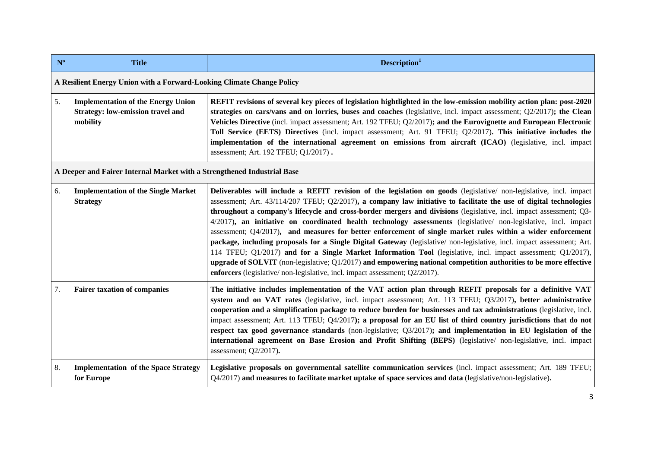| $N^{\circ}$ | <b>Title</b>                                                                                      | Description <sup>1</sup>                                                                                                                                                                                                                                                                                                                                                                                                                                                                                                                                                                                                                                                                                                                                                                                                                                                                                                                                                                                                                             |  |  |  |
|-------------|---------------------------------------------------------------------------------------------------|------------------------------------------------------------------------------------------------------------------------------------------------------------------------------------------------------------------------------------------------------------------------------------------------------------------------------------------------------------------------------------------------------------------------------------------------------------------------------------------------------------------------------------------------------------------------------------------------------------------------------------------------------------------------------------------------------------------------------------------------------------------------------------------------------------------------------------------------------------------------------------------------------------------------------------------------------------------------------------------------------------------------------------------------------|--|--|--|
|             | A Resilient Energy Union with a Forward-Looking Climate Change Policy                             |                                                                                                                                                                                                                                                                                                                                                                                                                                                                                                                                                                                                                                                                                                                                                                                                                                                                                                                                                                                                                                                      |  |  |  |
| 5.          | <b>Implementation of the Energy Union</b><br><b>Strategy: low-emission travel and</b><br>mobility | REFIT revisions of several key pieces of legislation hightlighted in the low-emission mobility action plan: post-2020<br>strategies on cars/vans and on lorries, buses and coaches (legislative, incl. impact assessment; Q2/2017); the Clean<br>Vehicles Directive (incl. impact assessment; Art. 192 TFEU; Q2/2017); and the Eurovignette and European Electronic<br>Toll Service (EETS) Directives (incl. impact assessment; Art. 91 TFEU; Q2/2017). This initiative includes the<br>implementation of the international agreement on emissions from aircraft (ICAO) (legislative, incl. impact<br>assessment; Art. 192 TFEU; Q1/2017).                                                                                                                                                                                                                                                                                                                                                                                                           |  |  |  |
|             | A Deeper and Fairer Internal Market with a Strengthened Industrial Base                           |                                                                                                                                                                                                                                                                                                                                                                                                                                                                                                                                                                                                                                                                                                                                                                                                                                                                                                                                                                                                                                                      |  |  |  |
| 6.          | <b>Implementation of the Single Market</b><br><b>Strategy</b>                                     | Deliverables will include a REFIT revision of the legislation on goods (legislative/ non-legislative, incl. impact<br>assessment; Art. $43/114/207$ TFEU; $Q2/2017$ ), a company law initiative to facilitate the use of digital technologies<br>throughout a company's lifecycle and cross-border mergers and divisions (legislative, incl. impact assessment; Q3-<br>4/2017), an initiative on coordinated health technology assessments (legislative/ non-legislative, incl. impact<br>assessment; Q4/2017), and measures for better enforcement of single market rules within a wider enforcement<br>package, including proposals for a Single Digital Gateway (legislative/non-legislative, incl. impact assessment; Art.<br>114 TFEU; Q1/2017) and for a Single Market Information Tool (legislative, incl. impact assessment; Q1/2017),<br>upgrade of SOLVIT (non-legislative; $Q1/2017$ ) and empowering national competition authorities to be more effective<br>enforcers (legislative/non-legislative, incl. impact assessment; Q2/2017). |  |  |  |
| 7.          | <b>Fairer taxation of companies</b>                                                               | The initiative includes implementation of the VAT action plan through REFIT proposals for a definitive VAT<br>system and on VAT rates (legislative, incl. impact assessment; Art. 113 TFEU; Q3/2017), better administrative<br>cooperation and a simplification package to reduce burden for businesses and tax administrations (legislative, incl.<br>impact assessment; Art. 113 TFEU; Q4/2017); a proposal for an EU list of third country jurisdictions that do not<br>respect tax good governance standards (non-legislative; Q3/2017); and implementation in EU legislation of the<br>international agremeent on Base Erosion and Profit Shifting (BEPS) (legislative/ non-legislative, incl. impact<br>assessment; Q2/2017).                                                                                                                                                                                                                                                                                                                  |  |  |  |
| 8.          | <b>Implementation of the Space Strategy</b><br>for Europe                                         | Legislative proposals on governmental satellite communication services (incl. impact assessment; Art. 189 TFEU;<br>Q4/2017) and measures to facilitate market uptake of space services and data (legislative/non-legislative).                                                                                                                                                                                                                                                                                                                                                                                                                                                                                                                                                                                                                                                                                                                                                                                                                       |  |  |  |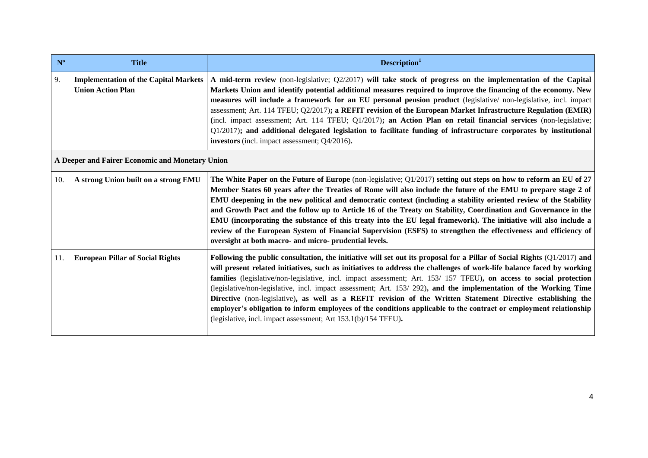| $N^{\circ}$ | <b>Title</b>                                                             | Description <sup>1</sup>                                                                                                                                                                                                                                                                                                                                                                                                                                                                                                                                                                                                                                                                                                                                                                          |  |
|-------------|--------------------------------------------------------------------------|---------------------------------------------------------------------------------------------------------------------------------------------------------------------------------------------------------------------------------------------------------------------------------------------------------------------------------------------------------------------------------------------------------------------------------------------------------------------------------------------------------------------------------------------------------------------------------------------------------------------------------------------------------------------------------------------------------------------------------------------------------------------------------------------------|--|
| 9.          | <b>Implementation of the Capital Markets</b><br><b>Union Action Plan</b> | A mid-term review (non-legislative; Q2/2017) will take stock of progress on the implementation of the Capital<br>Markets Union and identify potential additional measures required to improve the financing of the economy. New<br>measures will include a framework for an EU personal pension product (legislative/ non-legislative, incl. impact<br>assessment; Art. 114 TFEU; Q2/2017); a REFIT revision of the European Market Infrastructure Regulation (EMIR)<br>(incl. impact assessment; Art. 114 TFEU; Q1/2017); an Action Plan on retail financial services (non-legislative;<br>Q1/2017); and additional delegated legislation to facilitate funding of infrastructure corporates by institutional<br>investors (incl. impact assessment; Q4/2016).                                   |  |
|             | A Deeper and Fairer Economic and Monetary Union                          |                                                                                                                                                                                                                                                                                                                                                                                                                                                                                                                                                                                                                                                                                                                                                                                                   |  |
| 10.         | A strong Union built on a strong EMU                                     | The White Paper on the Future of Europe (non-legislative; $Q1/2017$ ) setting out steps on how to reform an EU of 27<br>Member States 60 years after the Treaties of Rome will also include the future of the EMU to prepare stage 2 of<br>EMU deepening in the new political and democratic context (including a stability oriented review of the Stability<br>and Growth Pact and the follow up to Article 16 of the Treaty on Stability, Coordination and Governance in the<br>EMU (incorporating the substance of this treaty into the EU legal framework). The initiative will also include a<br>review of the European System of Financial Supervision (ESFS) to strengthen the effectiveness and efficiency of<br>oversight at both macro- and micro- prudential levels.                   |  |
| 11.         | <b>European Pillar of Social Rights</b>                                  | Following the public consultation, the initiative will set out its proposal for a Pillar of Social Rights (Q1/2017) and<br>will present related initiatives, such as initiatives to address the challenges of work-life balance faced by working<br>families (legislative/non-legislative, incl. impact assessment; Art. 153/157 TFEU), on access to social protection<br>(legislative/non-legislative, incl. impact assessment; Art. 153/292), and the implementation of the Working Time<br>Directive (non-legislative), as well as a REFIT revision of the Written Statement Directive establishing the<br>employer's obligation to inform employees of the conditions applicable to the contract or employment relationship<br>(legislative, incl. impact assessment; Art 153.1(b)/154 TFEU). |  |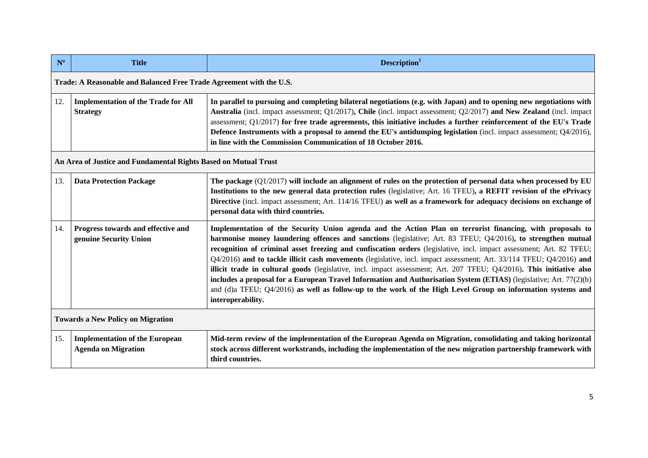| $N^{\circ}$                              | <b>Title</b>                                                        | Description <sup>1</sup>                                                                                                                                                                                                                                                                                                                                                                                                                                                                                                                                                                                                                                                                                                                                                                                                                                  |  |  |  |
|------------------------------------------|---------------------------------------------------------------------|-----------------------------------------------------------------------------------------------------------------------------------------------------------------------------------------------------------------------------------------------------------------------------------------------------------------------------------------------------------------------------------------------------------------------------------------------------------------------------------------------------------------------------------------------------------------------------------------------------------------------------------------------------------------------------------------------------------------------------------------------------------------------------------------------------------------------------------------------------------|--|--|--|
|                                          | Trade: A Reasonable and Balanced Free Trade Agreement with the U.S. |                                                                                                                                                                                                                                                                                                                                                                                                                                                                                                                                                                                                                                                                                                                                                                                                                                                           |  |  |  |
| 12.                                      | <b>Implementation of the Trade for All</b><br><b>Strategy</b>       | In parallel to pursuing and completing bilateral negotiations (e.g. with Japan) and to opening new negotiations with<br>Australia (incl. impact assessment; Q1/2017), Chile (incl. impact assessment; Q2/2017) and New Zealand (incl. impact<br>assessment; Q1/2017) for free trade agreements, this initiative includes a further reinforcement of the EU's Trade<br>Defence Instruments with a proposal to amend the EU's antidumping legislation (incl. impact assessment; Q4/2016),<br>in line with the Commission Communication of 18 October 2016.                                                                                                                                                                                                                                                                                                  |  |  |  |
|                                          | An Area of Justice and Fundamental Rights Based on Mutual Trust     |                                                                                                                                                                                                                                                                                                                                                                                                                                                                                                                                                                                                                                                                                                                                                                                                                                                           |  |  |  |
| 13.                                      | <b>Data Protection Package</b>                                      | The package $(Q1/2017)$ will include an alignment of rules on the protection of personal data when processed by EU<br>Institutions to the new general data protection rules (legislative; Art. 16 TFEU), a REFIT revision of the ePrivacy<br>Directive (incl. impact assessment; Art. 114/16 TFEU) as well as a framework for adequacy decisions on exchange of<br>personal data with third countries.                                                                                                                                                                                                                                                                                                                                                                                                                                                    |  |  |  |
| 14.                                      | Progress towards and effective and<br>genuine Security Union        | Implementation of the Security Union agenda and the Action Plan on terrorist financing, with proposals to<br>harmonise money laundering offences and sanctions (legislative; Art. 83 TFEU; Q4/2016), to strengthen mutual<br>recognition of criminal asset freezing and confiscation orders (legislative, incl. impact assessment; Art. 82 TFEU;<br>Q4/2016) and to tackle illicit cash movements (legislative, incl. impact assessment; Art. 33/114 TFEU; Q4/2016) and<br>illicit trade in cultural goods (legislative, incl. impact assessment; Art. 207 TFEU; Q4/2016). This initiative also<br>includes a proposal for a European Travel Information and Authorisation System (ETIAS) (legislative; Art. 77(2)(b)<br>and (d)a TFEU; Q4/2016) as well as follow-up to the work of the High Level Group on information systems and<br>interoperability. |  |  |  |
| <b>Towards a New Policy on Migration</b> |                                                                     |                                                                                                                                                                                                                                                                                                                                                                                                                                                                                                                                                                                                                                                                                                                                                                                                                                                           |  |  |  |
| 15.                                      | <b>Implementation of the European</b><br><b>Agenda on Migration</b> | Mid-term review of the implementation of the European Agenda on Migration, consolidating and taking horizontal<br>stock across different workstrands, including the implementation of the new migration partnership framework with<br>third countries.                                                                                                                                                                                                                                                                                                                                                                                                                                                                                                                                                                                                    |  |  |  |